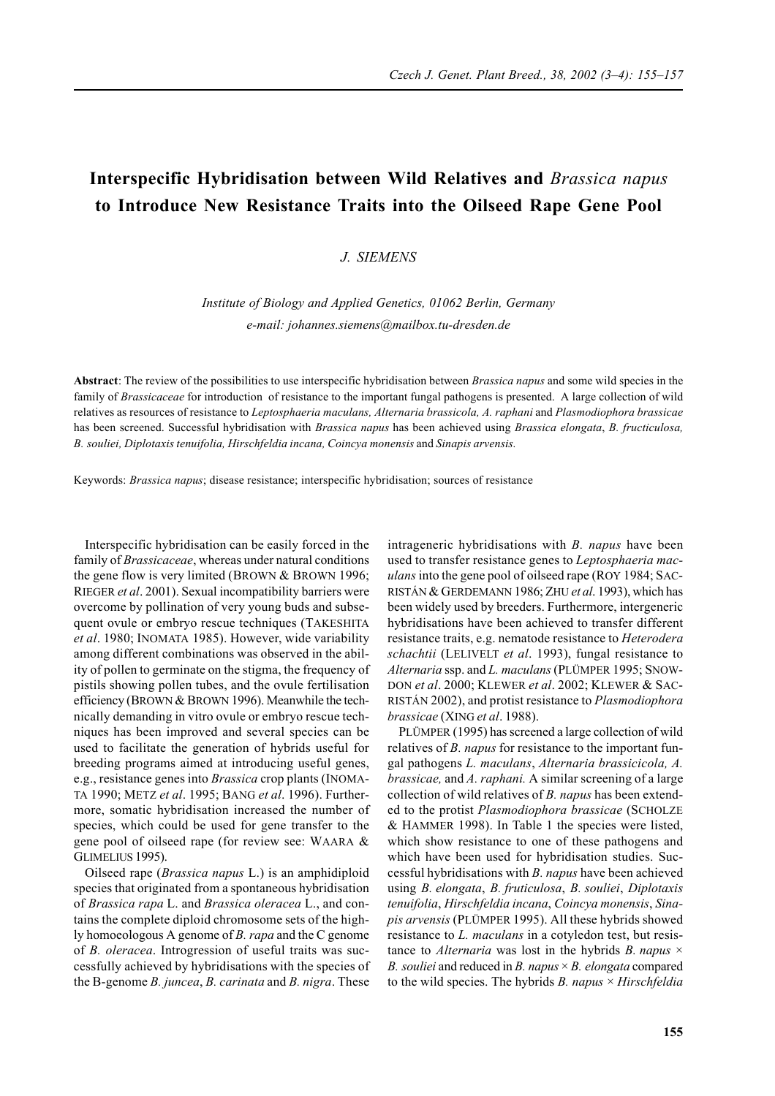## **Interspecific Hybridisation between Wild Relatives and** *Brassica napus* **to Introduce New Resistance Traits into the Oilseed Rape Gene Pool**

## *J. SIEMENS*

*Institute of Biology and Applied Genetics, 01062 Berlin, Germany e-mail: johannes.siemens@mailbox.tu-dresden.de*

**Abstract**: The review of the possibilities to use interspecific hybridisation between *Brassica napus* and some wild species in the family of *Brassicaceae* for introduction of resistance to the important fungal pathogens is presented. A large collection of wild relatives as resources of resistance to *Leptosphaeria maculans, Alternaria brassicola, A. raphani* and *Plasmodiophora brassicae* has been screened. Successful hybridisation with *Brassica napus* has been achieved using *Brassica elongata*, *B. fructiculosa, B. souliei, Diplotaxis tenuifolia, Hirschfeldia incana, Coincya monensis* and *Sinapis arvensis.*

Keywords: *Brassica napus*; disease resistance; interspecific hybridisation; sources of resistance

Interspecific hybridisation can be easily forced in the family of *Brassicaceae*, whereas under natural conditions the gene flow is very limited (BROWN & BROWN 1996; RIEGER *et al*. 2001). Sexual incompatibility barriers were overcome by pollination of very young buds and subsequent ovule or embryo rescue techniques (TAKESHITA *et al*. 1980; INOMATA 1985). However, wide variability among different combinations was observed in the ability of pollen to germinate on the stigma, the frequency of pistils showing pollen tubes, and the ovule fertilisation efficiency (BROWN & BROWN 1996). Meanwhile the technically demanding in vitro ovule or embryo rescue techniques has been improved and several species can be used to facilitate the generation of hybrids useful for breeding programs aimed at introducing useful genes, e.g., resistance genes into *Brassica* crop plants (INOMA-TA 1990; METZ *et al*. 1995; BANG *et al*. 1996). Furthermore, somatic hybridisation increased the number of species, which could be used for gene transfer to the gene pool of oilseed rape (for review see: WAARA & GLIMELIUS 1995).

Oilseed rape (*Brassica napus* L.) is an amphidiploid species that originated from a spontaneous hybridisation of *Brassica rapa* L. and *Brassica oleracea* L., and contains the complete diploid chromosome sets of the highly homoeologous A genome of *B. rapa* and the C genome of *B. oleracea*. Introgression of useful traits was successfully achieved by hybridisations with the species of the B-genome *B. juncea*, *B. carinata* and *B. nigra*. These

intrageneric hybridisations with *B. napus* have been used to transfer resistance genes to *Leptosphaeria maculans* into the gene pool of oilseed rape (ROY 1984; SAC-RISTÁN & GERDEMANN 1986; ZHU *et al*. 1993), which has been widely used by breeders. Furthermore, intergeneric hybridisations have been achieved to transfer different resistance traits, e.g. nematode resistance to *Heterodera schachtii* (LELIVELT *et al*. 1993), fungal resistance to *Alternaria* ssp. and *L. maculans* (PLÜMPER 1995; SNOW-DON *et al*. 2000; KLEWER *et al*. 2002; KLEWER & SAC-RISTÁN 2002), and protist resistance to *Plasmodiophora brassicae* (XING *et al*. 1988).

PLÜMPER (1995) has screened a large collection of wild relatives of *B. napus* for resistance to the important fungal pathogens *L. maculans*, *Alternaria brassicicola, A. brassicae,* and *A. raphani.* A similar screening of a large collection of wild relatives of *B. napus* has been extended to the protist *Plasmodiophora brassicae* (SCHOLZE & HAMMER 1998). In Table 1 the species were listed, which show resistance to one of these pathogens and which have been used for hybridisation studies. Successful hybridisations with *B. napus* have been achieved using *B. elongata*, *B. fruticulosa*, *B. souliei*, *Diplotaxis tenuifolia*, *Hirschfeldia incana*, *Coincya monensis*, *Sinapis arvensis* (PLÜMPER 1995). All these hybrids showed resistance to *L. maculans* in a cotyledon test, but resistance to *Alternaria* was lost in the hybrids *B. napus* × *B. souliei* and reduced in *B. napus* × *B. elongata* compared to the wild species. The hybrids *B. napus* × *Hirschfeldia*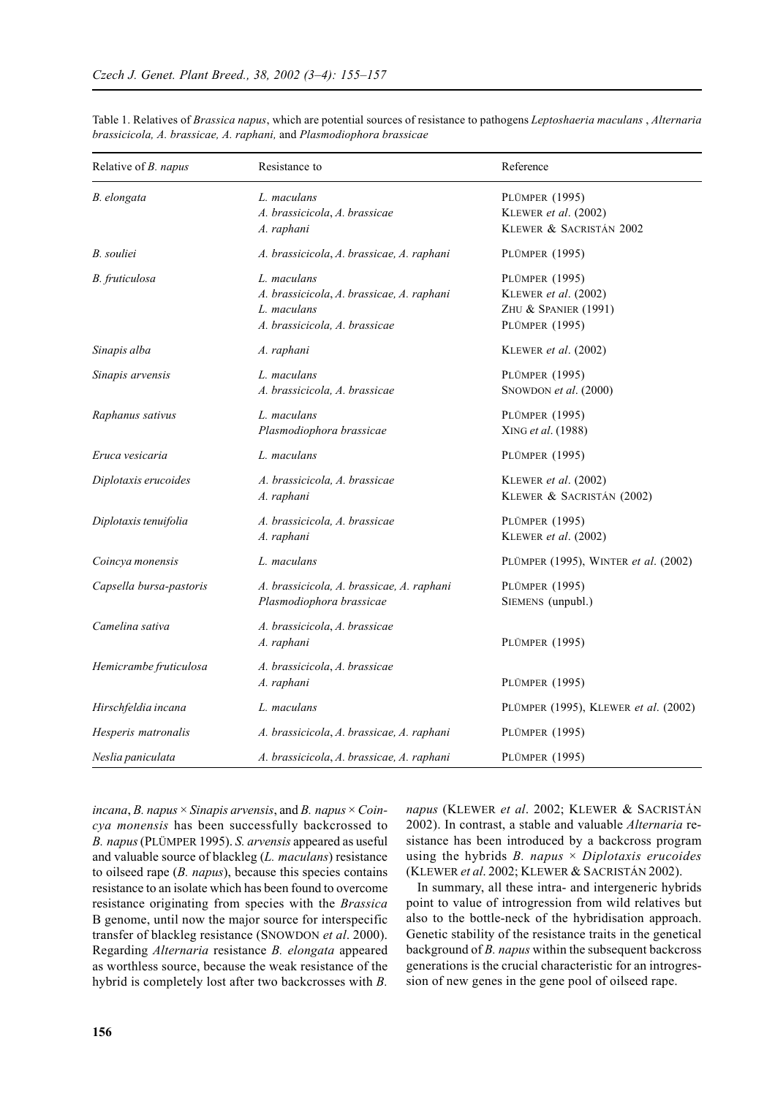| Relative of <i>B. napus</i> | Resistance to                                                                                            | Reference                                                                                      |
|-----------------------------|----------------------------------------------------------------------------------------------------------|------------------------------------------------------------------------------------------------|
| B. elongata                 | L. maculans<br>A. brassicicola, A. brassicae<br>A. raphani                                               | <b>PLÜMPER (1995)</b><br>KLEWER et al. (2002)<br>KLEWER & SACRISTÁN 2002                       |
| B. souliei                  | A. brassicicola, A. brassicae, A. raphani                                                                | <b>PLÜMPER (1995)</b>                                                                          |
| B. fruticulosa              | L. maculans<br>A. brassicicola, A. brassicae, A. raphani<br>L. maculans<br>A. brassicicola, A. brassicae | <b>PLÜMPER (1995)</b><br>KLEWER et al. (2002)<br>ZHU & SPANIER (1991)<br><b>PLÜMPER (1995)</b> |
| Sinapis alba                | A. raphani                                                                                               | KLEWER et al. (2002)                                                                           |
| Sinapis arvensis            | L. maculans<br>A. brassicicola, A. brassicae                                                             | PLÜMPER (1995)<br>SNOWDON et al. (2000)                                                        |
| Raphanus sativus            | L. maculans<br>Plasmodiophora brassicae                                                                  | <b>PLÜMPER (1995)</b><br>XING et al. (1988)                                                    |
| Eruca vesicaria             | L. maculans                                                                                              | PLÜMPER (1995)                                                                                 |
| Diplotaxis erucoides        | A. brassicicola, A. brassicae<br>A. raphani                                                              | KLEWER et al. (2002)<br>KLEWER & SACRISTÁN (2002)                                              |
| Diplotaxis tenuifolia       | A. brassicicola, A. brassicae<br>A. raphani                                                              | PLÜMPER (1995)<br>KLEWER et al. (2002)                                                         |
| Coincya monensis            | L. maculans                                                                                              | PLÜMPER (1995), WINTER et al. (2002)                                                           |
| Capsella bursa-pastoris     | A. brassicicola, A. brassicae, A. raphani<br>Plasmodiophora brassicae                                    | <b>PLÜMPER (1995)</b><br>SIEMENS (unpubl.)                                                     |
| Camelina sativa             | A. brassicicola, A. brassicae<br>A. raphani                                                              | <b>PLÜMPER (1995)</b>                                                                          |
| Hemicrambe fruticulosa      | A. brassicicola, A. brassicae<br>A. raphani                                                              | PLÜMPER (1995)                                                                                 |
| Hirschfeldia incana         | L. maculans                                                                                              | PLÜMPER (1995), KLEWER et al. (2002)                                                           |
| Hesperis matronalis         | A. brassicicola, A. brassicae, A. raphani                                                                | <b>PLÜMPER (1995)</b>                                                                          |
| Neslia paniculata           | A. brassicicola, A. brassicae, A. raphani                                                                | PLÜMPER (1995)                                                                                 |

Table 1. Relatives of *Brassica napus*, which are potential sources of resistance to pathogens *Leptoshaeria maculans* , *Alternaria brassicicola, A. brassicae, A. raphani,* and *Plasmodiophora brassicae*

*incana*, *B. napus* × *Sinapis arvensis*, and *B. napus* × *Coincya monensis* has been successfully backcrossed to *B. napus* (PLÜMPER 1995). *S. arvensis* appeared as useful and valuable source of blackleg (*L. maculans*) resistance to oilseed rape (*B. napus*), because this species contains resistance to an isolate which has been found to overcome resistance originating from species with the *Brassica* B genome, until now the major source for interspecific transfer of blackleg resistance (SNOWDON *et al*. 2000). Regarding *Alternaria* resistance *B. elongata* appeared as worthless source, because the weak resistance of the hybrid is completely lost after two backcrosses with *B.*

*napus* (KLEWER *et al*. 2002; KLEWER & SACRISTÁN 2002). In contrast, a stable and valuable *Alternaria* resistance has been introduced by a backcross program using the hybrids *B. napus* × *Diplotaxis erucoides* (KLEWER *et al*. 2002; KLEWER & SACRISTÁN 2002).

In summary, all these intra- and intergeneric hybrids point to value of introgression from wild relatives but also to the bottle-neck of the hybridisation approach. Genetic stability of the resistance traits in the genetical background of *B. napus* within the subsequent backcross generations is the crucial characteristic for an introgression of new genes in the gene pool of oilseed rape.